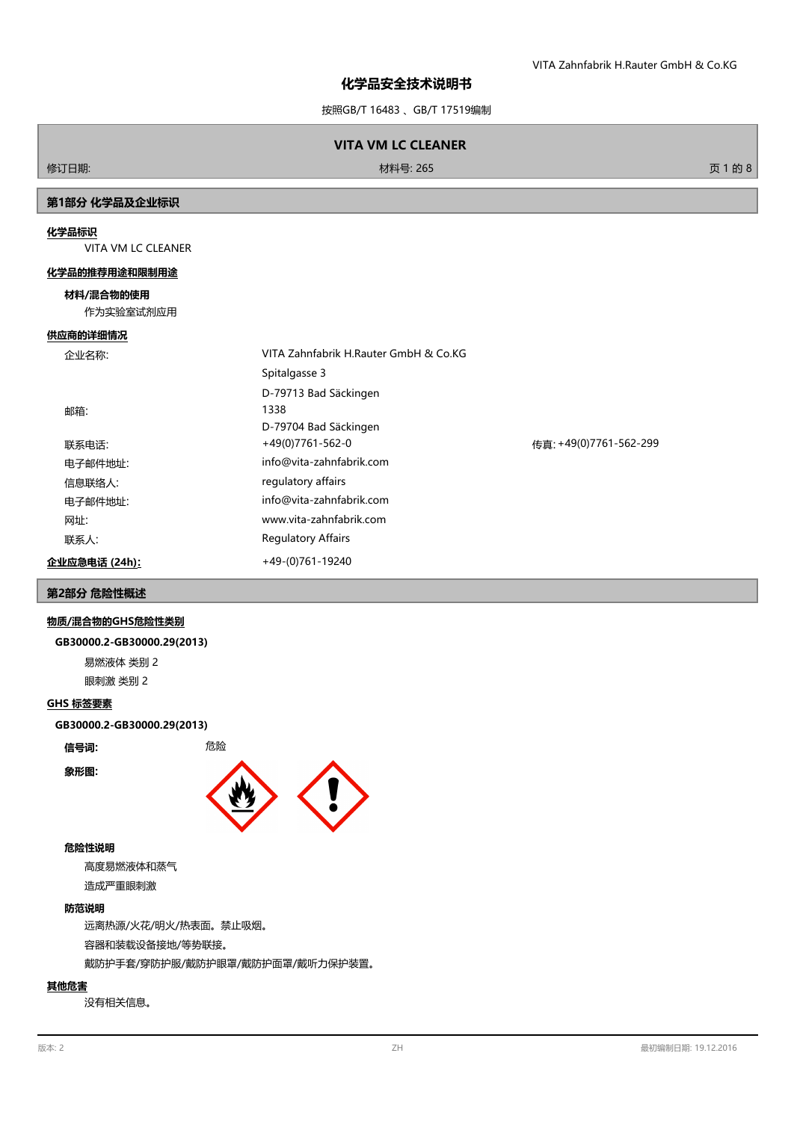# **化学品安全技术说明书**

按照GB/T 16483 、GB/T 17519编制

# **VITA VM LC CLEANER**

修订日期: 材料号: 265 页 1 的 8

# **第1部分 化学品及企业标识**

### **化学品标识**

VITA VM LC CLEANER

#### **化学品的推荐用途和限制用途**

## **材料/混合物的使用**

作为实验室试剂应用

#### **供应商的详细情况**

| 企业名称:         | VITA Zahnfabrik H.Rauter GmbH & Co.KG |                        |
|---------------|---------------------------------------|------------------------|
|               | Spitalgasse 3                         |                        |
|               | D-79713 Bad Säckingen                 |                        |
| 邮箱:           | 1338                                  |                        |
|               | D-79704 Bad Säckingen                 |                        |
| 联系电话:         | $+49(0)7761-562-0$                    | 传直: +49(0)7761-562-299 |
| 电子邮件地址:       | info@vita-zahnfabrik.com              |                        |
| 信息联络人:        | regulatory affairs                    |                        |
| 电子邮件地址:       | info@vita-zahnfabrik.com              |                        |
| 网址:           | www.vita-zahnfabrik.com               |                        |
| 联系人:          | <b>Regulatory Affairs</b>             |                        |
| 企业应急电话 (24h): | +49-(0)761-19240                      |                        |

# **第2部分 危险性概述**

### **物质/混合物的GHS危险性类别**

#### **GB30000.2-GB30000.29(2013)**

易燃液体 类别 2

眼刺激 类别 2

### **GHS 标签要素**

**GB30000.2-GB30000.29(2013)**

**信号词:** 危险

**象形图:**



#### **危险性说明**

高度易燃液体和蒸气 造成严重眼刺激

## **防范说明**

远离热源/火花/明火/热表面。禁止吸烟。 容器和装载设备接地/等势联接。 戴防护手套/穿防护服/戴防护眼罩/戴防护面罩/戴听力保护装置。

## **其他危害**

没有相关信息。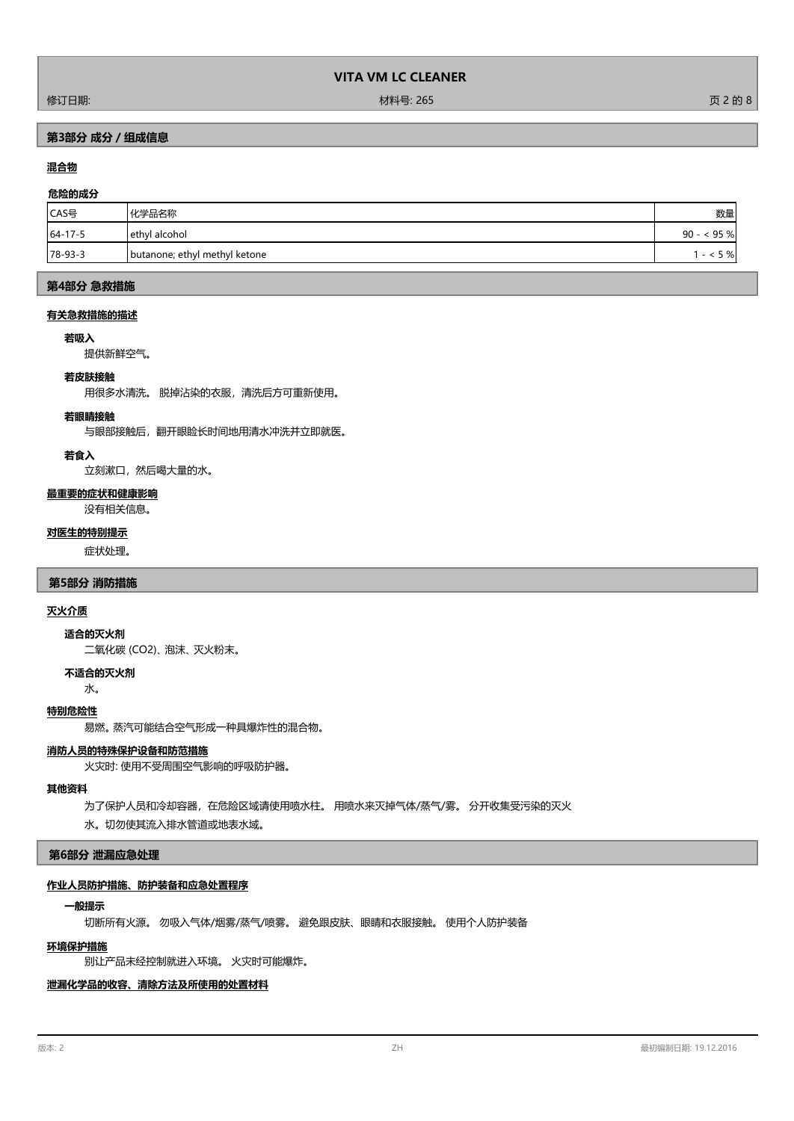修订日期: 材料号: 265 页 2 的 8

# **第3部分 成分/组成信息**

# **混合物**

## **危险的成分**

| CAS号    | 化学品名称                          | 数量           |
|---------|--------------------------------|--------------|
| 64-17-5 | ethyl alcohol                  | $90 - 95 \%$ |
| 78-93-3 | Joutanone; ethyl methyl ketone | 5%           |

## **第4部分 急救措施**

### **有关急救措施的描述**

### **若吸入**

提供新鲜空气。

#### **若皮肤接触**

用很多水清洗。 脱掉沾染的衣服,清洗后方可重新使用。

#### **若眼睛接触**

与眼部接触后,翻开眼睑长时间地用清水冲洗并立即就医。

#### **若食入**

立刻漱口,然后喝大量的水。

### **最重要的症状和健康影响**

没有相关信息。

### **对医生的特别提示**

症状处理。

### **第5部分 消防措施**

## **灭火介质**

**适合的灭火剂**

二氧化碳 (CO2)、 泡沫、 灭火粉末。

# **不适合的灭火剂**

水。

## **特别危险性**

易燃。 蒸汽可能结合空气形成一种具爆炸性的混合物。

### **消防人员的特殊保护设备和防范措施**

火灾时: 使用不受周围空气影响的呼吸防护器。

## **其他资料**

为了保护人员和冷却容器,在危险区域请使用喷水柱。 用喷水来灭掉气体/蒸气/雾。 分开收集受污染的灭火 水。切勿使其流入排水管道或地表水域。

## **第6部分 泄漏应急处理**

# **作业人员防护措施、防护装备和应急处置程序**

## **一般提示**

切断所有火源。 勿吸入气体/烟雾/蒸气/喷雾。 避免跟皮肤、眼睛和衣服接触。 使用个人防护装备

## **环境保护措施**

别让产品未经控制就进入环境。 火灾时可能爆炸。

# **泄漏化学品的收容、清除方法及所使用的处置材料**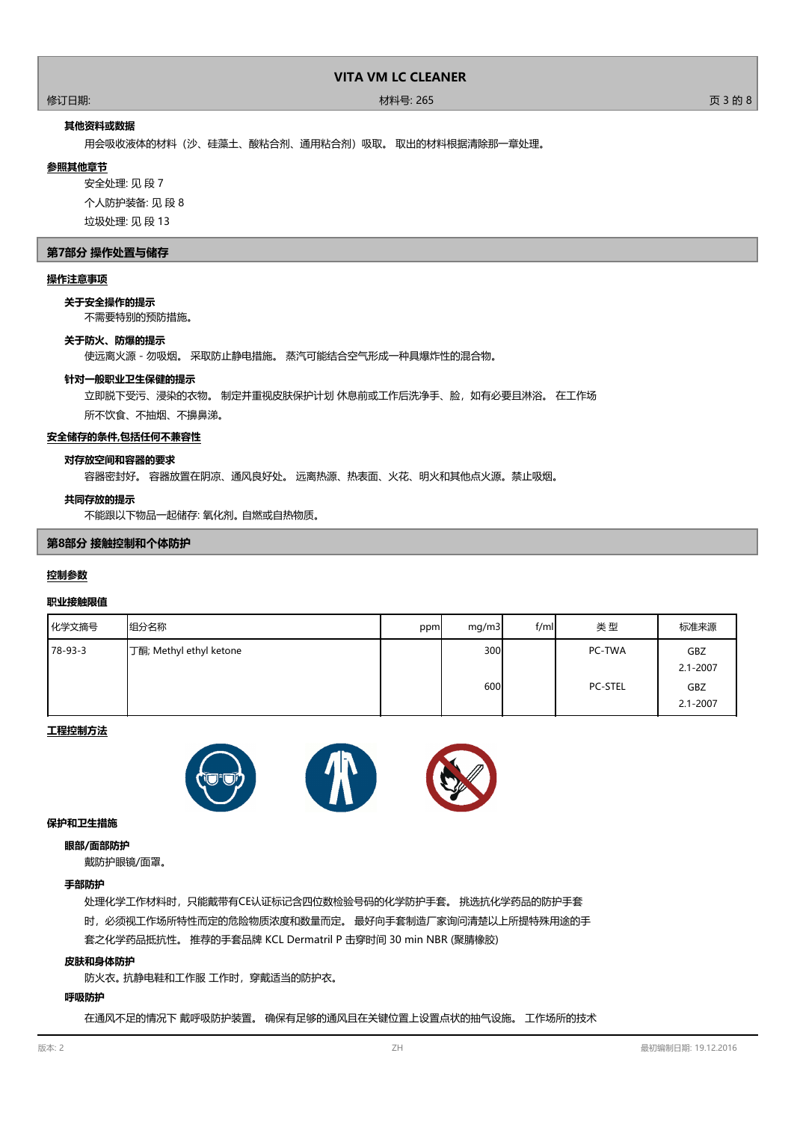#### 修订日期: 材料号: 265 页 3 的 8

## **其他资料或数据**

用会吸收液体的材料(沙、硅藻土、酸粘合剂、通用粘合剂)吸取。 取出的材料根据清除那一章处理。

#### **参照其他章节**

安全处理: 见 段 7 个人防护装备: 见 段 8 垃圾处理: 见 段 13

#### **第7部分 操作处置与储存**

#### **操作注意事项**

**关于安全操作的提示**

不需要特别的预防措施。

## **关于防火、防爆的提示**

使远离火源 - 勿吸烟。 采取防止静电措施。 蒸汽可能结合空气形成一种具爆炸性的混合物。

#### **针对一般职业卫生保健的提示**

立即脱下受污、浸染的衣物。 制定并重视皮肤保护计划 休息前或工作后洗净手、脸,如有必要且淋浴。 在工作场

所不饮食、不抽烟、不擤鼻涕。

## **安全储存的条件,包括任何不兼容性**

#### **对存放空间和容器的要求**

容器密封好。 容器放置在阴凉、通风良好处。 远离热源、热表面、火花、明火和其他点火源。禁止吸烟。

#### **共同存放的提示**

不能跟以下物品一起储存: 氧化剂。 自燃或自热物质。

## **第8部分 接触控制和个体防护**

#### **控制参数**

#### **职业接触限值**

| 化学文摘号   | 组分名称                    | ppm | mg/m3      | f/ml | 类型                       | 标准来源                       |
|---------|-------------------------|-----|------------|------|--------------------------|----------------------------|
| 78-93-3 | 丁酮; Methyl ethyl ketone |     | 300<br>600 |      | PC-TWA<br><b>PC-STEL</b> | <b>GBZ</b><br>$2.1 - 2007$ |
|         |                         |     |            |      |                          | GBZ<br>$2.1 - 2007$        |

## **工程控制方法**



#### **保护和卫生措施**

#### **眼部/面部防护**

戴防护眼镜/面罩。

## **手部防护**

处理化学工作材料时,只能戴带有CE认证标记含四位数检验号码的化学防护手套。 挑选抗化学药品的防护手套 时,必须视工作场所特性而定的危险物质浓度和数量而定。 最好向手套制造厂家询问清楚以上所提特殊用途的手 套之化学药品抵抗性。 推荐的手套品牌 KCL Dermatril P 击穿时间 30 min NBR (聚腈橡胶)

#### **皮肤和身体防护**

防火衣。 抗静电鞋和工作服 工作时,穿戴适当的防护衣。

## **呼吸防护**

在通风不足的情况下 戴呼吸防护装置。 确保有足够的通风且在关键位置上设置点状的抽气设施。 工作场所的技术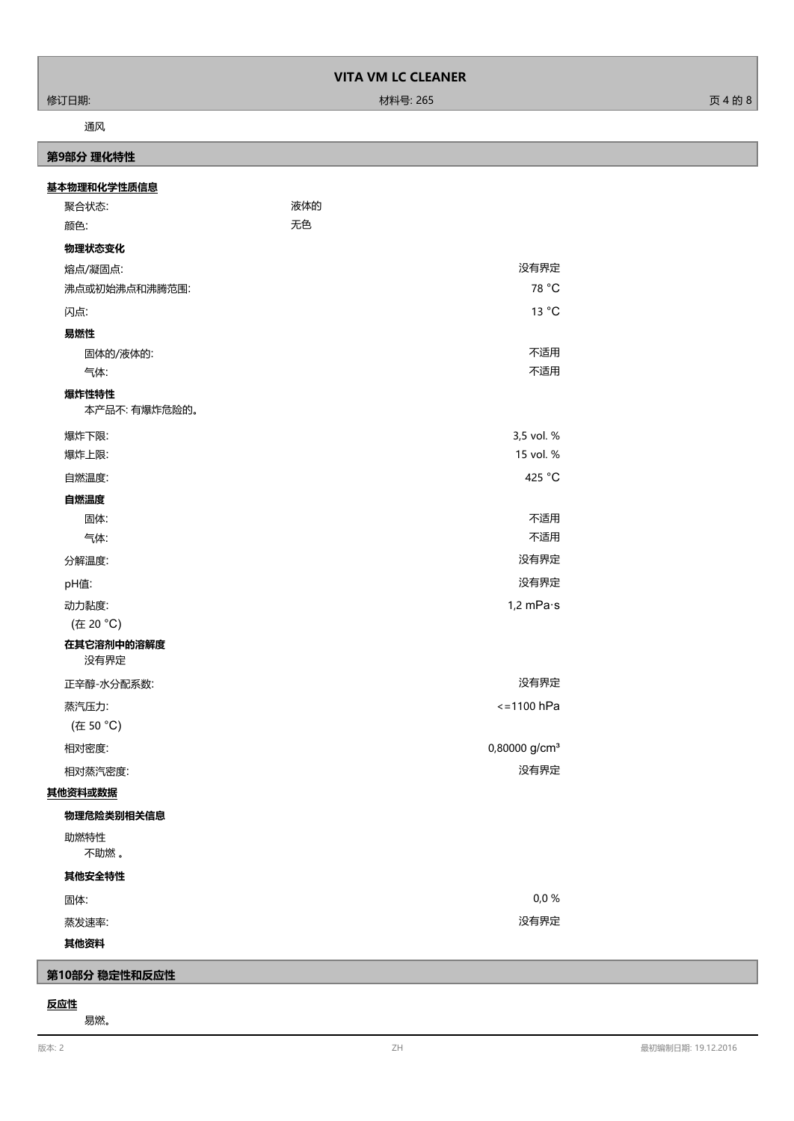#### 修订日期: 材料号: 265 页 4 的 8

## 通风

# **第9部分 理化特性**

| 基本物理和化学性质信息            |     |                           |
|------------------------|-----|---------------------------|
| 聚合状态:                  | 液体的 |                           |
| 颜色:                    | 无色  |                           |
| 物理状态变化                 |     |                           |
| 熔点/凝固点:                |     | 没有界定                      |
| 沸点或初始沸点和沸腾范围:          |     | 78 °C                     |
| 闪点:                    |     | 13 °C                     |
| 易燃性                    |     |                           |
| 固体的/液体的:               |     | 不适用                       |
| 气体:                    |     | 不适用                       |
| 爆炸性特性<br>本产品不: 有爆炸危险的。 |     |                           |
| 爆炸下限:                  |     | 3,5 vol. %                |
| 爆炸上限:                  |     | 15 vol. %                 |
| 自燃温度:                  |     | 425 °C                    |
| 自燃温度                   |     |                           |
| 固体:                    |     | 不适用                       |
| 气体:                    |     | 不适用                       |
| 分解温度:                  |     | 没有界定                      |
| pH值:                   |     | 没有界定                      |
| 动力黏度:                  |     | $1,2$ mPa $\cdot$ s       |
| (在 20 °C)              |     |                           |
| 在其它溶剂中的溶解度<br>没有界定     |     |                           |
| 正辛醇-水分配系数:             |     | 没有界定                      |
| 蒸汽压力:                  |     | $\le$ = 1100 hPa          |
| (在 50 °C)              |     |                           |
| 相对密度:                  |     | 0,80000 g/cm <sup>3</sup> |
| 相对蒸汽密度:                |     | 没有界定                      |
| 其他资料或数据                |     |                           |
| 物理危险类别相关信息             |     |                           |
| 助燃特性<br>不助燃。           |     |                           |
| 其他安全特性                 |     |                           |
| 固体:                    |     | 0,0%                      |
| 蒸发速率:                  |     | 没有界定                      |
| 其他资料                   |     |                           |

# **第10部分 稳定性和反应性**

# **反应性**

易燃。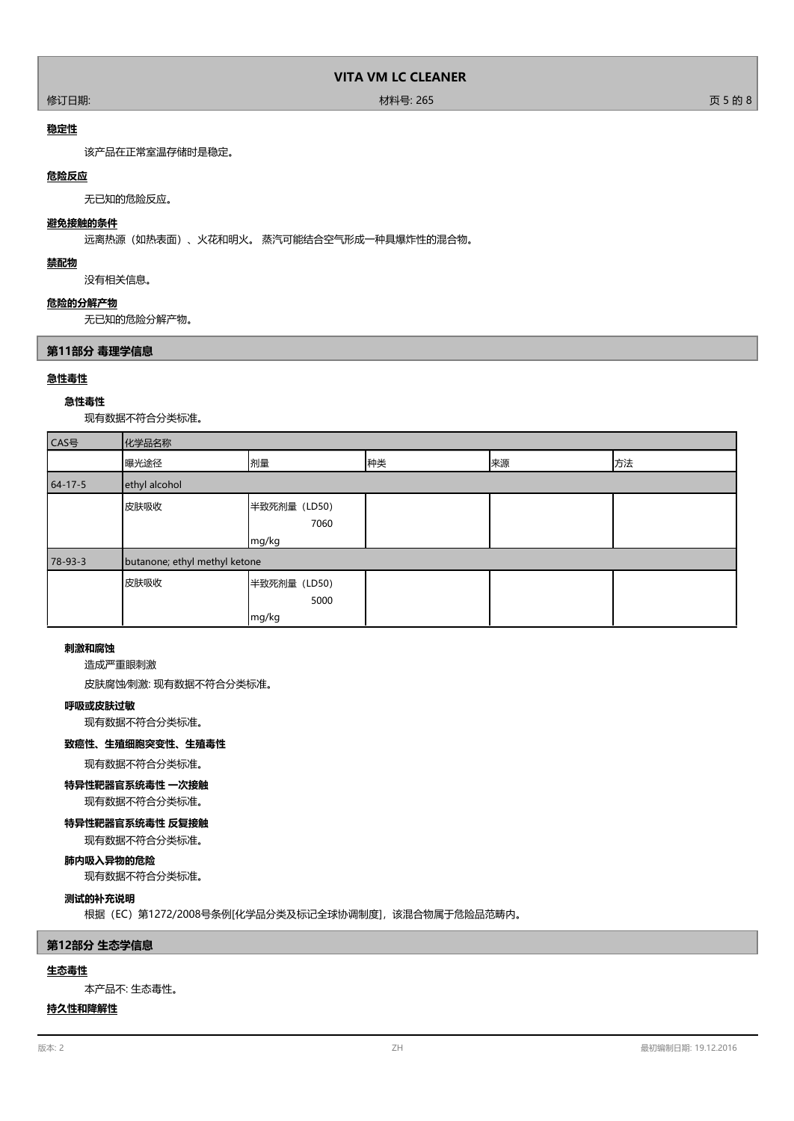## 修订日期: 材料号: 265 页 5 的 8

## **稳定性**

该产品在正常室温存储时是稳定。

## **危险反应**

无已知的危险反应。

# **避免接触的条件**

远离热源(如热表面)、火花和明火。 蒸汽可能结合空气形成一种具爆炸性的混合物。

## **禁配物**

没有相关信息。

# **危险的分解产物**

无已知的危险分解产物。

## **第11部分 毒理学信息**

## **急性毒性**

**急性毒性** 现有数据不符合分类标准。

| CAS号          | 化学品名称                         |                               |    |    |    |
|---------------|-------------------------------|-------------------------------|----|----|----|
|               | 曝光途径                          | 剂量                            | 种类 | 来源 | 方法 |
| $64 - 17 - 5$ | ethyl alcohol                 |                               |    |    |    |
|               | 皮肤吸收                          | 半致死剂量 (LD50)<br>7060<br>mg/kg |    |    |    |
| $78-93-3$     | butanone; ethyl methyl ketone |                               |    |    |    |
|               | 皮肤吸收                          | 半致死剂量 (LD50)<br>5000<br>mg/kg |    |    |    |

## **刺激和腐蚀**

造成严重眼刺激

皮肤腐蚀∕刺激: 现有数据不符合分类标准。

#### **呼吸或皮肤过敏**

现有数据不符合分类标准。

## **致癌性、生殖细胞突变性、生殖毒性**

现有数据不符合分类标准。

## **特异性靶器官系统毒性 一次接触**

现有数据不符合分类标准。

#### **特异性靶器官系统毒性 反复接触**

现有数据不符合分类标准。

# **肺内吸入异物的危险**

现有数据不符合分类标准。

# **测试的补充说明**

根据(EC)第1272/2008号条例[化学品分类及标记全球协调制度],该混合物属于危险品范畴内。

## **第12部分 生态学信息**

## **生态毒性**

本产品不: 生态毒性。

## **持久性和降解性**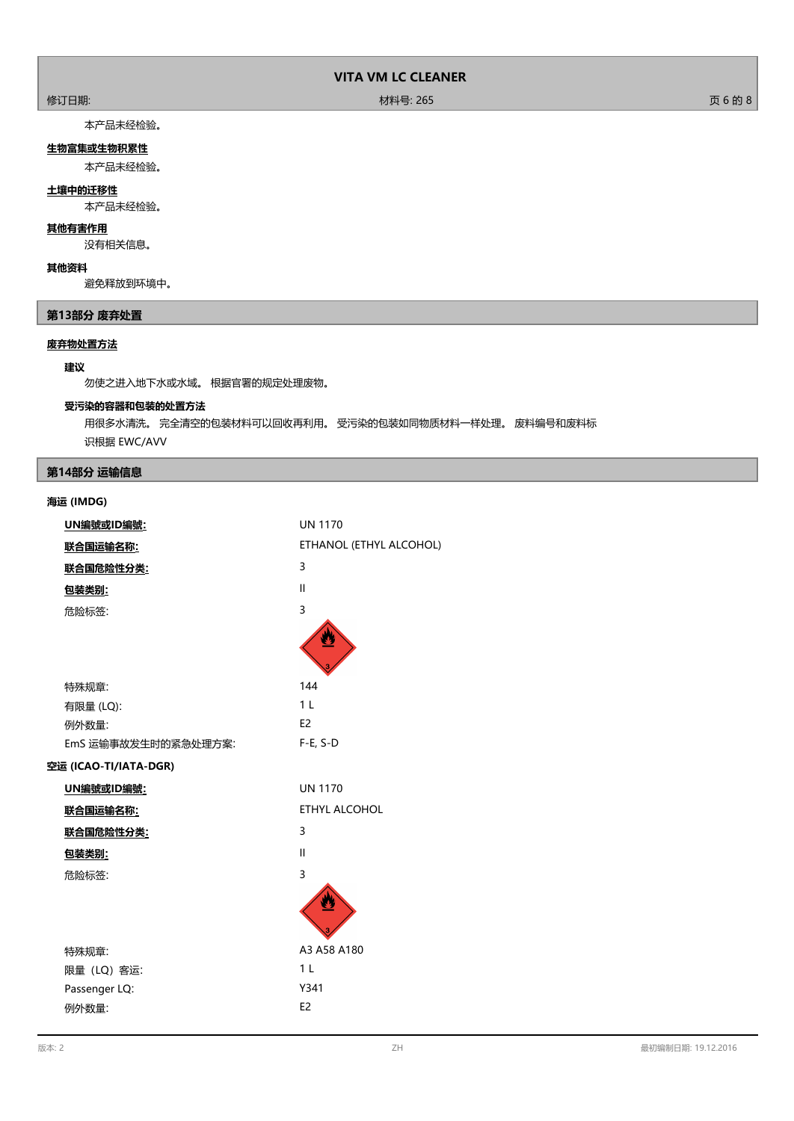#### 修订日期: 材料号: 265 页 6 的 8

本产品未经检验。

# **生物富集或生物积累性**

本产品未经检验。

## **土壤中的迁移性**

本产品未经检验。

### **其他有害作用**

没有相关信息。

# **其他资料**

避免释放到环境中。

# **第13部分 废弃处置**

# **废弃物处置方法**

## **建议**

勿使之进入地下水或水域。 根据官署的规定处理废物。

## **受污染的容器和包装的处置方法**

用很多水清洗。 完全清空的包装材料可以回收再利用。 受污染的包装如同物质材料一样处理。 废料编号和废料标 识根据 EWC/AVV

# **第14部分 运输信息**

## **海运 (IMDG)**

| UN編號或ID編號:            | <b>UN 1170</b>          |
|-----------------------|-------------------------|
| 联合国运输名称:              | ETHANOL (ETHYL ALCOHOL) |
| 联合国危险性分类:             | 3                       |
| 包装类别:                 | $\mathbf{I}$            |
| 危险标签:                 | 3                       |
|                       |                         |
|                       |                         |
|                       |                         |
| 特殊规章:                 | 144                     |
| 有限量 (LQ):             | 1 <sub>L</sub>          |
| 例外数量:                 | E <sub>2</sub>          |
| EmS 运输事故发生时的紧急处理方案:   | $F-E, S-D$              |
| 空运 (ICAO-TI/IATA-DGR) |                         |
| UN編號或ID編號:            | <b>UN 1170</b>          |
| 联合国运输名称:              | <b>ETHYL ALCOHOL</b>    |
| 联合国危险性分类:             | 3                       |
| 包装类别:                 | $\mathbf{I}$            |
| 危险标签:                 | 3                       |
|                       |                         |
|                       |                         |
|                       |                         |
| 特殊规章:                 | A3 A58 A180             |
| 限量 (LQ) 客运:           | 1 <sub>L</sub>          |
| Passenger LQ:         | Y341                    |
| 例外数量:                 | E <sub>2</sub>          |
|                       |                         |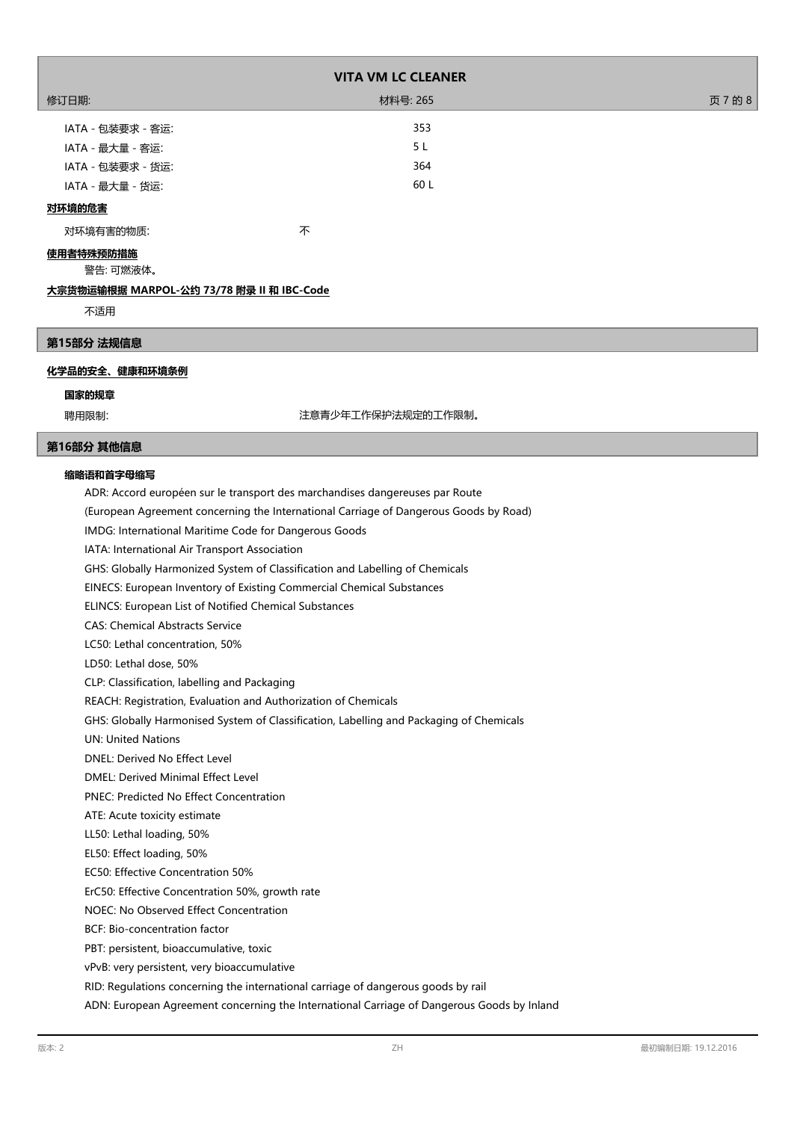| <b>VITA VM LC CLEANER</b>                                                               |                                                                                            |         |  |  |
|-----------------------------------------------------------------------------------------|--------------------------------------------------------------------------------------------|---------|--|--|
| 修订日期:                                                                                   | 材料号: 265                                                                                   | 页 7 的 8 |  |  |
| IATA - 包装要求 - 客运:                                                                       | 353                                                                                        |         |  |  |
| IATA - 最大量 - 客运:                                                                        | 5 L                                                                                        |         |  |  |
| IATA - 包装要求 - 货运:                                                                       | 364                                                                                        |         |  |  |
| IATA - 最大量 - 货运:                                                                        | 60 L                                                                                       |         |  |  |
| 对环境的危害                                                                                  |                                                                                            |         |  |  |
|                                                                                         |                                                                                            |         |  |  |
| 对环境有害的物质:                                                                               | 不                                                                                          |         |  |  |
| 使用者特殊预防措施<br>警告:可燃液体。                                                                   |                                                                                            |         |  |  |
| <u>大宗货物运输根据 MARPOL-公约 73/78 附录 II 和 IBC-Code</u>                                        |                                                                                            |         |  |  |
| 不适用                                                                                     |                                                                                            |         |  |  |
|                                                                                         |                                                                                            |         |  |  |
| 第15部分 法规信息                                                                              |                                                                                            |         |  |  |
| 化学品的安全、健康和环境条例                                                                          |                                                                                            |         |  |  |
|                                                                                         |                                                                                            |         |  |  |
| 国家的规章                                                                                   |                                                                                            |         |  |  |
| 聘用限制:                                                                                   | 注意青少年工作保护法规定的工作限制。                                                                         |         |  |  |
| 第16部分 其他信息                                                                              |                                                                                            |         |  |  |
| 缩略语和首字母缩写                                                                               |                                                                                            |         |  |  |
| ADR: Accord européen sur le transport des marchandises dangereuses par Route            |                                                                                            |         |  |  |
|                                                                                         | (European Agreement concerning the International Carriage of Dangerous Goods by Road)      |         |  |  |
| IMDG: International Maritime Code for Dangerous Goods                                   |                                                                                            |         |  |  |
| IATA: International Air Transport Association                                           |                                                                                            |         |  |  |
| GHS: Globally Harmonized System of Classification and Labelling of Chemicals            |                                                                                            |         |  |  |
| EINECS: European Inventory of Existing Commercial Chemical Substances                   |                                                                                            |         |  |  |
| ELINCS: European List of Notified Chemical Substances                                   |                                                                                            |         |  |  |
| <b>CAS: Chemical Abstracts Service</b>                                                  |                                                                                            |         |  |  |
| LC50: Lethal concentration, 50%                                                         |                                                                                            |         |  |  |
| LD50: Lethal dose, 50%                                                                  |                                                                                            |         |  |  |
| CLP: Classification, labelling and Packaging                                            |                                                                                            |         |  |  |
| REACH: Registration, Evaluation and Authorization of Chemicals                          |                                                                                            |         |  |  |
| GHS: Globally Harmonised System of Classification, Labelling and Packaging of Chemicals |                                                                                            |         |  |  |
| <b>UN: United Nations</b>                                                               |                                                                                            |         |  |  |
| <b>DNEL: Derived No Effect Level</b>                                                    |                                                                                            |         |  |  |
| DMEL: Derived Minimal Effect Level                                                      |                                                                                            |         |  |  |
| <b>PNEC: Predicted No Effect Concentration</b>                                          |                                                                                            |         |  |  |
| ATE: Acute toxicity estimate                                                            |                                                                                            |         |  |  |
| LL50: Lethal loading, 50%                                                               |                                                                                            |         |  |  |
| EL50: Effect loading, 50%                                                               |                                                                                            |         |  |  |
| EC50: Effective Concentration 50%                                                       |                                                                                            |         |  |  |
| ErC50: Effective Concentration 50%, growth rate                                         |                                                                                            |         |  |  |
| NOEC: No Observed Effect Concentration                                                  |                                                                                            |         |  |  |
| BCF: Bio-concentration factor                                                           |                                                                                            |         |  |  |
| PBT: persistent, bioaccumulative, toxic                                                 |                                                                                            |         |  |  |
| vPvB: very persistent, very bioaccumulative                                             |                                                                                            |         |  |  |
| RID: Regulations concerning the international carriage of dangerous goods by rail       |                                                                                            |         |  |  |
|                                                                                         | ADN: European Agreement concerning the International Carriage of Dangerous Goods by Inland |         |  |  |

ľ

ľ